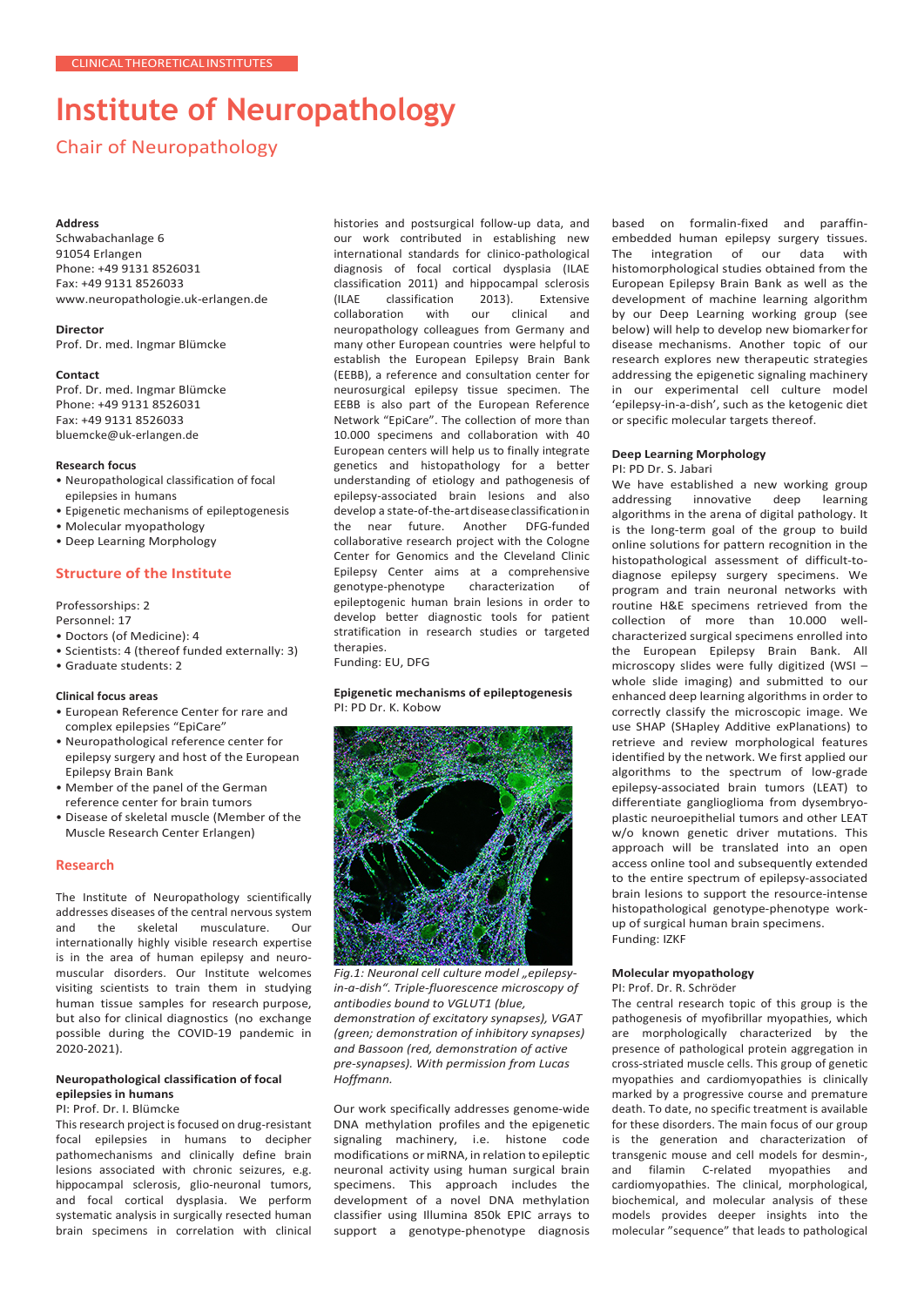# **Institute of Neuropathology**

# Chair of Neuropathology

#### **Address**

Schwabachanlage 6 91054 Erlangen Phone: +49 9131 8526031 Fax: +49 9131 8526033 [www.neuropathologie.uk-erlangen.de](http://www.neuropathologie.uk-erlangen.de/)

## **Director**

Prof. Dr. med. Ingmar Blümcke

#### **Contact**

Prof. Dr. med. Ingmar Blümcke Phone: +49 9131 8526031 Fax: +49 9131 8526033 [bluemcke@uk-erlangen.de](mailto:bluemcke@uk-erlangen.de)

#### **Research focus**

- Neuropathological classification of focal epilepsies in humans
- Epigenetic mechanisms of epileptogenesis
- Molecular myopathology
- Deep Learning Morphology

# **Structure of the Institute**

Professorships: 2

Personnel: 17

- Doctors (of Medicine): 4
- Scientists: 4 (thereof funded externally: 3)
- Graduate students: 2

## **Clinical focus areas**

- European Reference Center for rare and complex epilepsies "EpiCare"
- Neuropathological reference center for epilepsy surgery and host of the European Epilepsy Brain Bank
- Member of the panel of the German reference center for brain tumors
- Disease of skeletal muscle (Member of the Muscle Research Center Erlangen)

## **Research**

The Institute of Neuropathology scientifically addresses diseases of the central nervous system<br>and the skeletal musculature. Our musculature. internationally highly visible research expertise is in the area of human epilepsy and neuromuscular disorders. Our Institute welcomes visiting scientists to train them in studying human tissue samples for research purpose, but also for clinical diagnostics (no exchange possible during the COVID-19 pandemic in 2020-2021).

## **Neuropathological classification of focal epilepsies in humans**

# PI: Prof. Dr. I. Blümcke

This research project is focused on drug-resistant focal epilepsies in humans to decipher pathomechanisms and clinically define brain lesions associated with chronic seizures, e.g. hippocampal sclerosis, glio-neuronal tumors, and focal cortical dysplasia. We perform systematic analysis in surgically resected human brain specimens in correlation with clinical histories and postsurgical follow-up data, and our work contributed in establishing new international standards for clinico-pathological diagnosis of focal cortical dysplasia (ILAE classification 2011) and hippocampal sclerosis<br>(ILAE classification 2013). Extensive classification 2013). Extensive<br>tion with our clinical and collaboration neuropathology colleagues from Germany and many other European countries were helpful to establish the European Epilepsy Brain Bank (EEBB), a reference and consultation center for neurosurgical epilepsy tissue specimen. The EEBB is also part of the European Reference Network "EpiCare". The collection of more than 10.000 specimens and collaboration with 40 European centers will help us to finally integrate genetics and histopathology for a better understanding of etiology and pathogenesis of epilepsy-associated brain lesions and also develop a state-of-the-art disease classification in<br>the near future. Another DFG-funded the near future. Another collaborative research project with the Cologne Center for Genomics and the Cleveland Clinic Epilepsy Center aims at a comprehensive<br>genotype-phenotype characterization of genotype-phenotype characterization of epileptogenic human brain lesions in order to develop better diagnostic tools for patient stratification in research studies or targeted therapies.

Funding: EU, DFG

#### **Epigenetic mechanisms of epileptogenesis** PI: PD Dr. K. Kobow



Fig.1: Neuronal cell culture model "epilepsy*in-a-dish". Triple-fluorescence microscopy of antibodies bound to VGLUT1 (blue, demonstration of excitatory synapses), VGAT (green; demonstration of inhibitory synapses) and Bassoon (red, demonstration of active pre-synapses). With permission from Lucas Hoffmann.*

Our work specifically addresses genome-wide DNA methylation profiles and the epigenetic signaling machinery, i.e. histone code modifications or miRNA, in relation to epileptic neuronal activity using human surgical brain specimens. This approach includes the development of a novel DNA methylation classifier using Illumina 850k EPIC arrays to support a genotype-phenotype diagnosis

based on formalin-fixed and paraffinembedded human epilepsy surgery tissues.<br>The integration of our data with The integration of our data with histomorphological studies obtained from the European Epilepsy Brain Bank as well as the development of machine learning algorithm by our Deep Learning working group (see below) will help to develop new biomarkerfor disease mechanisms. Another topic of our research explores new therapeutic strategies addressing the epigenetic signaling machinery in our experimental cell culture model 'epilepsy-in-a-dish', such as the ketogenic diet or specific molecular targets thereof.

# **Deep Learning Morphology**

PI: PD Dr. S. Jabari

We have established a new working group<br>addressing innovative deep learning innovative algorithms in the arena of digital pathology. It is the long-term goal of the group to build online solutions for pattern recognition in the histopathological assessment of difficult-todiagnose epilepsy surgery specimens. We program and train neuronal networks with routine H&E specimens retrieved from the collection of more than 10.000 wellcharacterized surgical specimens enrolled into the European Epilepsy Brain Bank. All microscopy slides were fully digitized (WSI – whole slide imaging) and submitted to our enhanced deep learning algorithms in order to correctly classify the microscopic image. We use SHAP (SHapley Additive exPlanations) to retrieve and review morphological features identified by the network. We first applied our algorithms to the spectrum of low-grade epilepsy-associated brain tumors (LEAT) to differentiate ganglioglioma from dysembryoplastic neuroepithelial tumors and other LEAT w/o known genetic driver mutations. This approach will be translated into an open access online tool and subsequently extended to the entire spectrum of epilepsy-associated brain lesions to support the resource-intense histopathological genotype-phenotype workup of surgical human brain specimens. Funding: IZKF

#### **Molecular myopathology**

PI: Prof. Dr. R. Schröder

The central research topic of this group is the pathogenesis of myofibrillar myopathies, which are morphologically characterized by the presence of pathological protein aggregation in cross-striated muscle cells. This group of genetic myopathies and cardiomyopathies is clinically marked by a progressive course and premature death. To date, no specific treatment is available for these disorders. The main focus of our group is the generation and characterization of transgenic mouse and cell models for desmin-, and filamin C-related myopathies and cardiomyopathies. The clinical, morphological, biochemical, and molecular analysis of these models provides deeper insights into the molecular "sequence" that leads to pathological